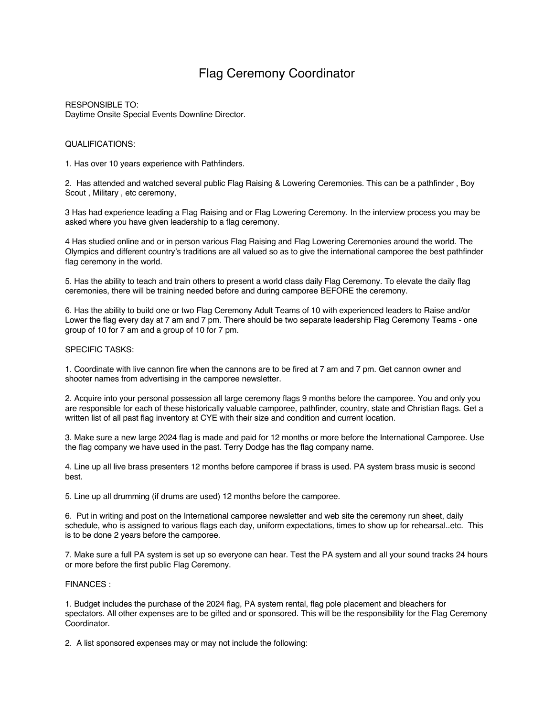## Flag Ceremony Coordinator

RESPONSIBLE TO: Daytime Onsite Special Events Downline Director.

## QUALIFICATIONS:

1. Has over 10 years experience with Pathfinders.

2. Has attended and watched several public Flag Raising & Lowering Ceremonies. This can be a pathfinder , Boy Scout , Military , etc ceremony,

3 Has had experience leading a Flag Raising and or Flag Lowering Ceremony. In the interview process you may be asked where you have given leadership to a flag ceremony.

4 Has studied online and or in person various Flag Raising and Flag Lowering Ceremonies around the world. The Olympics and different country's traditions are all valued so as to give the international camporee the best pathfinder flag ceremony in the world.

5. Has the ability to teach and train others to present a world class daily Flag Ceremony. To elevate the daily flag ceremonies, there will be training needed before and during camporee BEFORE the ceremony.

6. Has the ability to build one or two Flag Ceremony Adult Teams of 10 with experienced leaders to Raise and/or Lower the flag every day at 7 am and 7 pm. There should be two separate leadership Flag Ceremony Teams - one group of 10 for 7 am and a group of 10 for 7 pm.

## SPECIFIC TASKS:

1. Coordinate with live cannon fire when the cannons are to be fired at 7 am and 7 pm. Get cannon owner and shooter names from advertising in the camporee newsletter.

2. Acquire into your personal possession all large ceremony flags 9 months before the camporee. You and only you are responsible for each of these historically valuable camporee, pathfinder, country, state and Christian flags. Get a written list of all past flag inventory at CYE with their size and condition and current location.

3. Make sure a new large 2024 flag is made and paid for 12 months or more before the International Camporee. Use the flag company we have used in the past. Terry Dodge has the flag company name.

4. Line up all live brass presenters 12 months before camporee if brass is used. PA system brass music is second best.

5. Line up all drumming (if drums are used) 12 months before the camporee.

6. Put in writing and post on the International camporee newsletter and web site the ceremony run sheet, daily schedule, who is assigned to various flags each day, uniform expectations, times to show up for rehearsal..etc. This is to be done 2 years before the camporee.

7. Make sure a full PA system is set up so everyone can hear. Test the PA system and all your sound tracks 24 hours or more before the first public Flag Ceremony.

## FINANCES :

1. Budget includes the purchase of the 2024 flag, PA system rental, flag pole placement and bleachers for spectators. All other expenses are to be gifted and or sponsored. This will be the responsibility for the Flag Ceremony Coordinator.

2. A list sponsored expenses may or may not include the following: